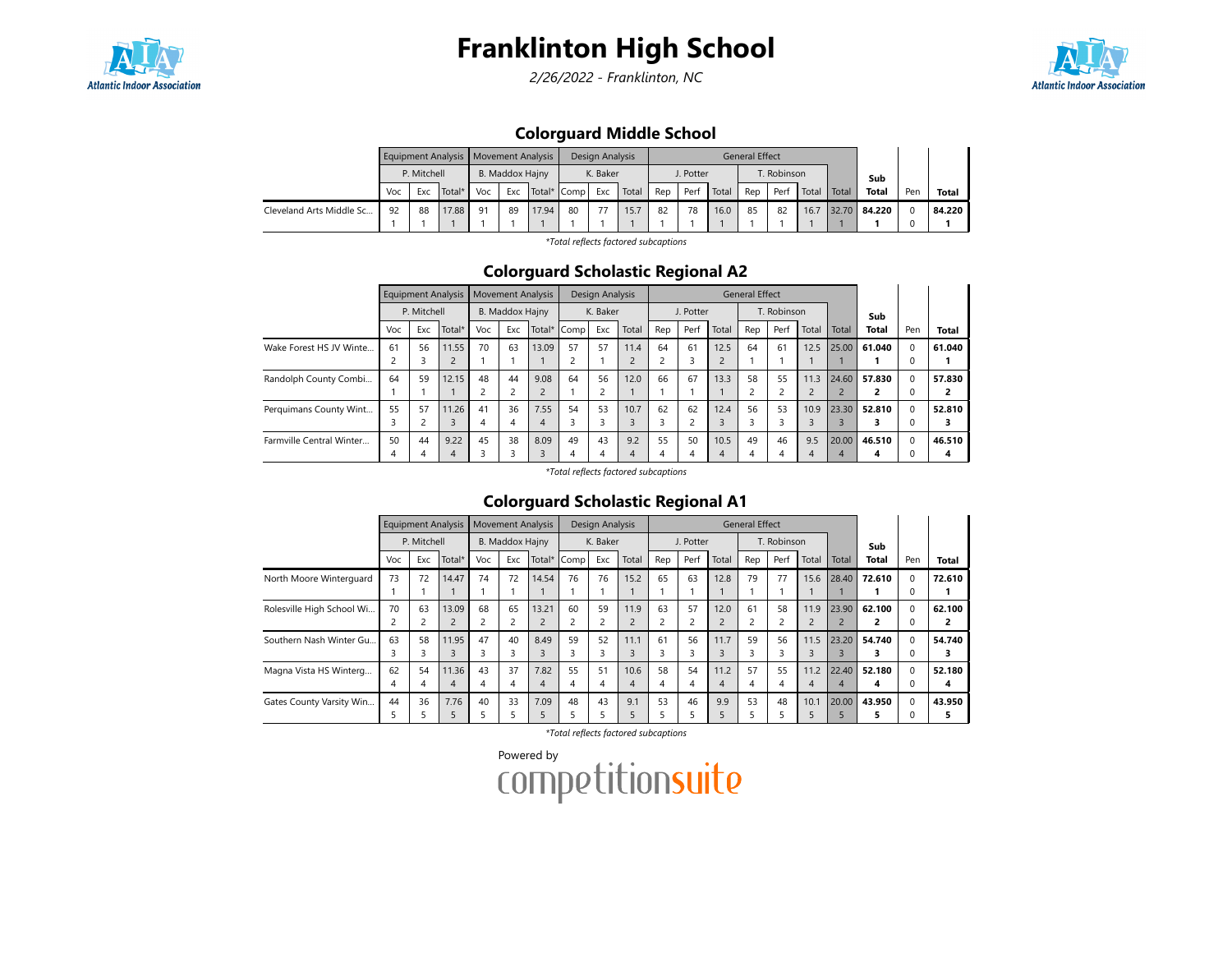

# Franklinton High School

2/26/2022 - Franklinton, NC



## Colorguard Middle School

|                          |             |     |        |                 | Equipment Analysis   Movement Analysis |             |          | Design Analysis |       |           |      |       | <b>General Effect</b> |      |       |       |              |     |        |
|--------------------------|-------------|-----|--------|-----------------|----------------------------------------|-------------|----------|-----------------|-------|-----------|------|-------|-----------------------|------|-------|-------|--------------|-----|--------|
|                          | P. Mitchell |     |        | B. Maddox Hajny |                                        |             | K. Baker |                 |       | J. Potter |      |       | T. Robinson           |      |       |       | Sub          |     |        |
|                          | Voc         | Exc | Total* | Voc             | Exc                                    | Total* Comp |          | Exc             | Total | Rep       | Perf | Total | Rep                   | Perf | Total | Total | <b>Total</b> | Pen | Total  |
| Cleveland Arts Middle Sc | 92          | 88  | 17.88  | 91              | 89                                     | 17.94       | 80       | 77              | 15.7  | 82        | 78   | 16.0  | 85                    | 82   | 16.7  | 32.70 | 84.220       |     | 84.220 |
|                          |             |     |        |                 |                                        |             |          |                 |       |           |      |       |                       |      |       |       |              |     |        |

\*Total reflects factored subcaptions

#### Colorguard Scholastic Regional A2

|                          | <b>Equipment Analysis</b> |             |        | <b>Movement Analysis</b> |                 |             | Design Analysis |          |       |                          |           | <b>General Effect</b> |     |             |       |       |                |             |              |
|--------------------------|---------------------------|-------------|--------|--------------------------|-----------------|-------------|-----------------|----------|-------|--------------------------|-----------|-----------------------|-----|-------------|-------|-------|----------------|-------------|--------------|
|                          |                           | P. Mitchell |        |                          | B. Maddox Hajny |             |                 | K. Baker |       |                          | J. Potter |                       |     | T. Robinson |       |       | Sub            |             |              |
|                          | Voc                       | Exc         | Total* | Voc                      | Exc             | Total* Comp |                 | Exc      | Total | Rep                      | Perf      | Total                 | Rep | Perf        | Total | Total | Total          | Pen         | <b>Total</b> |
| Wake Forest HS JV Winte  | 61                        | 56          | 11.55  | 70                       | 63              | 13.09       | 57              | 57       | 11.4  | 64                       | 61        | 12.5                  | 64  | 61          | 12.5  | 25.00 | 61.040         | $\Omega$    | 61.040       |
|                          |                           |             |        |                          |                 |             |                 |          |       | $\sim$                   | 3         | $\overline{c}$        |     |             |       |       |                | $\Omega$    |              |
| Randolph County Combi    | 64                        | 59          | 12.15  | 48                       | 44              | 9.08        | 64              | 56       | 12.0  | 66                       | 67        | 13.3                  | 58  | 55          | 11.3  | 24.60 | 57.830         | $\mathbf 0$ | 57.830       |
|                          |                           |             |        |                          | $\overline{c}$  |             |                 |          |       |                          |           |                       |     |             |       |       | $\overline{2}$ | $\Omega$    | 2            |
| Perquimans County Wint   | 55                        | 57          | 11.26  | 41                       | 36              | 7.55        | 54              | 53       | 10.7  | 62                       | 62        | 12.4                  | 56  | 53          | 10.9  | 23.30 | 52.810         | $\Omega$    | 52.810       |
|                          |                           |             | 3      | 4                        | 4               | 4           |                 |          |       | $\overline{\phantom{0}}$ |           |                       |     |             |       |       | з              | $\Omega$    | 3            |
| Farmville Central Winter | 50                        | 44          | 9.22   | 45                       | 38              | 8.09        | 49              | 43       | 9.2   | 55                       | 50        | 10.5                  | 49  | 46          | 9.5   | 20.00 | 46.510         | $\Omega$    | 46.510       |
|                          | 4                         |             | 4      |                          |                 |             | 4               | 4        | 4     | 4                        |           | 4                     | 4   | 4           | 4     | 4     | 4              | $\Omega$    | 4            |

\*Total reflects factored subcaptions

## Colorguard Scholastic Regional A1

|                           | <b>Equipment Analysis</b><br>P. Mitchell |     |                | <b>Movement Analysis</b><br>B. Maddox Hajny |     |        |      | Design Analysis<br>K. Baker |       |     |           | <b>General Effect</b> |     |             |                |       |              |     |        |
|---------------------------|------------------------------------------|-----|----------------|---------------------------------------------|-----|--------|------|-----------------------------|-------|-----|-----------|-----------------------|-----|-------------|----------------|-------|--------------|-----|--------|
|                           |                                          |     |                |                                             |     |        |      |                             |       |     | J. Potter |                       |     | T. Robinson |                |       | Sub          |     |        |
|                           | Voc                                      | Exc | Total*         | Voc                                         | Exc | Total* | Comp | Exc                         | Total | Rep | Perf      | Total                 | Rep | Perf        | Total          | Total | <b>Total</b> | Pen | Total  |
| North Moore Winterquard   | 73                                       | 72  | 14.47          | 74                                          | 72  | 14.54  | 76   | 76                          | 15.2  | 65  | 63        | 12.8                  | 79  | 77          | 15.6           | 28.40 | 72.610       | O.  | 72.610 |
|                           |                                          |     |                |                                             |     |        |      |                             |       |     |           |                       |     |             |                |       |              |     |        |
| Rolesville High School Wi | 70                                       | 63  | 13.09          | 68                                          | 65  | 13.21  | 60   | 59                          | 11.9  | 63  | 57        | 12.0                  | 61  | 58          | 11.9           | 23.90 | 62.100       | 0   | 62.100 |
|                           |                                          |     | $\overline{2}$ |                                             |     |        |      | 2                           |       | 2   |           |                       |     |             | $\overline{2}$ |       |              |     |        |
| Southern Nash Winter Gu.  | 63                                       | 58  | 11.95          | 47                                          | 40  | 8.49   | 59   | 52                          | 11.1  | 61  | 56        | 11.7                  | 59  | 56          | 11.5           | 23.20 | 54.740       | 0   | 54.740 |
|                           | 3                                        |     | 3              |                                             | 3   |        | 3    | 3                           |       | 3   |           |                       |     |             | 3              |       |              |     |        |
| Magna Vista HS Winterg    | 62                                       | 54  | 11.36          | 43                                          | 37  | 7.82   | 55   | 51                          | 10.6  | 58  | 54        | 11.2                  | 57  | 55          | 11.2           | 22.40 | 52.180       | 0   | 52.180 |
|                           | 4                                        |     | $\overline{4}$ | 4                                           | 4   | 4      | 4    | 4                           | 4     | 4   | 4         | 4                     | 4   | 4           | 4              | 4     | 4            |     | 4      |
| Gates County Varsity Win  | 44                                       | 36  | 7.76           | 40                                          | 33  | 7.09   | 48   | 43                          | 9.1   | 53  | 46        | 9.9                   | 53  | 48          | 10.1           | 20.00 | 43.950       | 0   | 43.950 |
|                           | ב                                        |     | 5              |                                             |     |        |      | 5                           |       | 5   |           |                       |     |             |                |       |              |     |        |

\*Total reflects factored subcaptions

Powered by<br>COMPetitionsuite